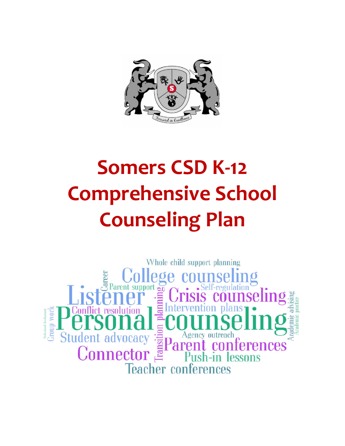

# **Somers CSD K-12 Comprehensive School Counseling Plan**

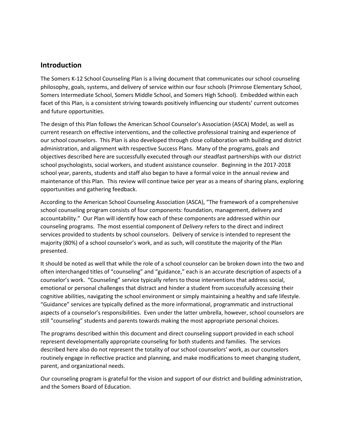# **Introduction**

The Somers K-12 School Counseling Plan is a living document that communicates our school counseling philosophy, goals, systems, and delivery of service within our four schools (Primrose Elementary School, Somers Intermediate School, Somers Middle School, and Somers High School). Embedded within each facet of this Plan, is a consistent striving towards positively influencing our students' current outcomes and future opportunities.

The design of this Plan follows the American School Counselor's Association (ASCA) Model, as well as current research on effective interventions, and the collective professional training and experience of our school counselors. This Plan is also developed through close collaboration with building and district administration, and alignment with respective Success Plans. Many of the programs, goals and objectives described here are successfully executed through our steadfast partnerships with our district school psychologists, social workers, and student assistance counselor. Beginning in the 2017-2018 school year, parents, students and staff also began to have a formal voice in the annual review and maintenance of this Plan. This review will continue twice per year as a means of sharing plans, exploring opportunities and gathering feedback.

According to the American School Counseling Association (ASCA), "The framework of a comprehensive school counseling program consists of four components: foundation, management, delivery and accountability." Our Plan will identify how each of these components are addressed within our counseling programs. The most essential component of *Delivery* refers to the direct and indirect services provided to students by school counselors. Delivery of service is intended to represent the majority (80%) of a school counselor's work, and as such, will constitute the majority of the Plan presented.

It should be noted as well that while the role of a school counselor can be broken down into the two and often interchanged titles of "counseling" and "guidance," each is an accurate description of aspects of a counselor's work. "Counseling" service typically refers to those interventions that address social, emotional or personal challenges that distract and hinder a student from successfully accessing their cognitive abilities, navigating the school environment or simply maintaining a healthy and safe lifestyle. "Guidance" services are typically defined as the more informational, programmatic and instructional aspects of a counselor's responsibilities. Even under the latter umbrella, however, school counselors are still "counseling" students and parents towards making the most appropriate personal choices.

The programs described within this document and direct counseling support provided in each school represent developmentally appropriate counseling for both students and families. The services described here also do not represent the totality of our school counselors' work, as our counselors routinely engage in reflective practice and planning, and make modifications to meet changing student, parent, and organizational needs.

Our counseling program is grateful for the vision and support of our district and building administration, and the Somers Board of Education.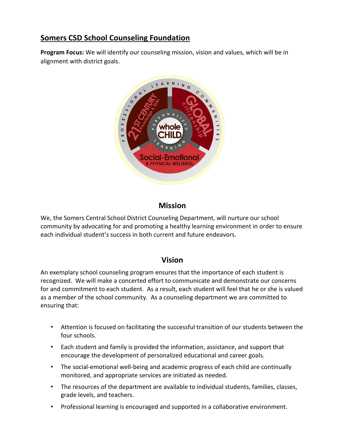# **Somers CSD School Counseling Foundation**

**Program Focus:** We will identify our counseling mission, vision and values, which will be in alignment with district goals.



# **Mission**

We, the Somers Central School District Counseling Department, will nurture our school community by advocating for and promoting a healthy learning environment in order to ensure each individual student's success in both current and future endeavors.

# **Vision**

An exemplary school counseling program ensures that the importance of each student is recognized. We will make a concerted effort to communicate and demonstrate our concerns for and commitment to each student. As a result, each student will feel that he or she is valued as a member of the school community. As a counseling department we are committed to ensuring that:

- Attention is focused on facilitating the successful transition of our students between the four schools.
- Each student and family is provided the information, assistance, and support that encourage the development of personalized educational and career goals.
- The social-emotional well-being and academic progress of each child are continually monitored, and appropriate services are initiated as needed.
- The resources of the department are available to individual students, families, classes, grade levels, and teachers.
- Professional learning is encouraged and supported in a collaborative environment.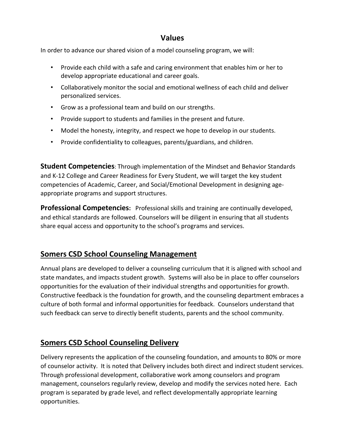# **Values**

In order to advance our shared vision of a model counseling program, we will:

- Provide each child with a safe and caring environment that enables him or her to develop appropriate educational and career goals.
- Collaboratively monitor the social and emotional wellness of each child and deliver personalized services.
- Grow as a professional team and build on our strengths.
- Provide support to students and families in the present and future.
- Model the honesty, integrity, and respect we hope to develop in our students.
- Provide confidentiality to colleagues, parents/guardians, and children.

**Student Competencies**: Through implementation of the Mindset and Behavior Standards and K-12 College and Career Readiness for Every Student, we will target the key student competencies of Academic, Career, and Social/Emotional Development in designing ageappropriate programs and support structures.

**Professional Competencies:** Professional skills and training are continually developed, and ethical standards are followed. Counselors will be diligent in ensuring that all students share equal access and opportunity to the school's programs and services.

# **Somers CSD School Counseling Management**

Annual plans are developed to deliver a counseling curriculum that it is aligned with school and state mandates, and impacts student growth. Systems will also be in place to offer counselors opportunities for the evaluation of their individual strengths and opportunities for growth. Constructive feedback is the foundation for growth, and the counseling department embraces a culture of both formal and informal opportunities for feedback. Counselors understand that such feedback can serve to directly benefit students, parents and the school community.

# **Somers CSD School Counseling Delivery**

Delivery represents the application of the counseling foundation, and amounts to 80% or more of counselor activity. It is noted that Delivery includes both direct and indirect student services. Through professional development, collaborative work among counselors and program management, counselors regularly review, develop and modify the services noted here. Each program is separated by grade level, and reflect developmentally appropriate learning opportunities.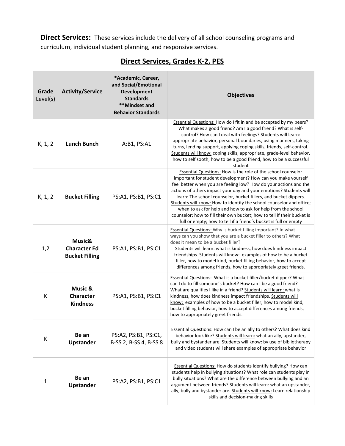**Direct Services:** These services include the delivery of all school counseling programs and curriculum, individual student planning, and responsive services.

| Grade<br>Level(s) | <b>Activity/Service</b>                                   | *Academic, Career,<br>and Social/Emotional<br><b>Development</b><br><b>Standards</b><br>**Mindset and<br><b>Behavior Standards</b> | <b>Objectives</b>                                                                                                                                                                                                                                                                                                                                                                                                                                                                                                                                                                                                                         |
|-------------------|-----------------------------------------------------------|------------------------------------------------------------------------------------------------------------------------------------|-------------------------------------------------------------------------------------------------------------------------------------------------------------------------------------------------------------------------------------------------------------------------------------------------------------------------------------------------------------------------------------------------------------------------------------------------------------------------------------------------------------------------------------------------------------------------------------------------------------------------------------------|
| K, 1, 2           | <b>Lunch Bunch</b>                                        | A:B1, PS:A1                                                                                                                        | Essential Questions: How do I fit in and be accepted by my peers?<br>What makes a good friend? Am I a good friend? What is self-<br>control? How can I deal with feelings? Students will learn:<br>appropriate behavior, personal boundaries, using manners, taking<br>turns, lending support, applying coping skills, friends, self-control.<br>Students will know: coping skills, appropriate, grade-level behavior,<br>how to self sooth, how to be a good friend, how to be a successful<br>student                                                                                                                                   |
| K, 1, 2           | <b>Bucket Filling</b>                                     | PS:A1, PS:B1, PS:C1                                                                                                                | <b>Essential Questions: How is the role of the school counselor</b><br>important for student development? How can you make yourself<br>feel better when you are feeling low? How do your actions and the<br>actions of others impact your day and your emotions? Students will<br>learn: The school counselor, bucket fillers, and bucket dippers.<br>Students will know: How to identify the school counselor and office;<br>when to ask for help and how to ask for help from the school<br>counselor; how to fill their own bucket; how to tell if their bucket is<br>full or empty; how to tell if a friend's bucket is full or empty |
| 1,2               | Music&<br><b>Character Ed</b><br><b>Bucket Filling</b>    | PS:A1, PS:B1, PS:C1                                                                                                                | <b>Essential Questions:</b> Why is bucket filling important? In what<br>ways can you show that you are a bucket filler to others? What<br>does it mean to be a bucket filler?<br>Students will learn: what is kindness, how does kindness impact<br>friendships. Students will know: examples of how to be a bucket<br>filler, how to model kind, bucket filling behavior, how to accept<br>differences among friends, how to appropriately greet friends.                                                                                                                                                                                |
| К                 | <b>Music &amp;</b><br><b>Character</b><br><b>Kindness</b> | PS:A1, PS:B1, PS:C1                                                                                                                | <b>Essential Questions: What is a bucket filler/bucket dipper? What</b><br>can I do to fill someone's bucket? How can I be a good friend?<br>What are qualities I like in a friend? Students will learn: what is<br>kindness, how does kindness impact friendships. Students will<br>know: examples of how to be a bucket filler, how to model kind,<br>bucket filling behavior, how to accept differences among friends,<br>how to appropriately greet friends.                                                                                                                                                                          |
| К                 | Be an<br><b>Upstander</b>                                 | PS:A2, PS:B1, PS:C1,<br>B-SS 2, B-SS 4, B-SS 8                                                                                     | <b>Essential Questions: How can I be an ally to others? What does kind</b><br>behavior look like? Students will learn: what an ally, upstander,<br>bully and bystander are. Students will know: by use of bibliotherapy<br>and video students will share examples of appropriate behavior                                                                                                                                                                                                                                                                                                                                                 |
| 1                 | Be an<br><b>Upstander</b>                                 | PS:A2, PS:B1, PS:C1                                                                                                                | <b>Essential Questions: How do students identify bullying? How can</b><br>students help in bullying situations? What role can students play in<br>bully situations? What are the difference between bullying and an<br>argument between friends? Students will learn: what an upstander,<br>ally, bully and bystander are. Students will know: Learn relationship<br>skills and decision-making skills                                                                                                                                                                                                                                    |

# **Direct Services, Grades K-2, PES**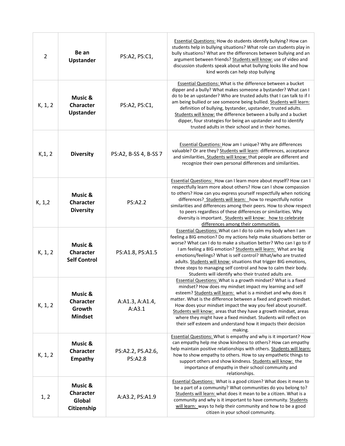| $\overline{2}$ | Be an<br>Upstander                                                 | PS:A2, PS:C1,                       | <b>Essential Questions: How do students identify bullying? How can</b><br>students help in bullying situations? What role can students play in<br>bully situations? What are the differences between bullying and an<br>argument between friends? Students will know: use of video and<br>discussion students speak about what bullying looks like and how<br>kind words can help stop bullying                                                                                                                                                         |
|----------------|--------------------------------------------------------------------|-------------------------------------|---------------------------------------------------------------------------------------------------------------------------------------------------------------------------------------------------------------------------------------------------------------------------------------------------------------------------------------------------------------------------------------------------------------------------------------------------------------------------------------------------------------------------------------------------------|
| K, 1, 2        | <b>Music &amp;</b><br><b>Character</b><br><b>Upstander</b>         | PS:A2, PS:C1,                       | <b>Essential Questions: What is the difference between a bucket</b><br>dipper and a bully? What makes someone a bystander? What can I<br>do to be an upstander? Who are trusted adults that I can talk to if I<br>am being bullied or see someone being bullied. Students will learn:<br>definition of bullying, bystander, upstander, trusted adults.<br>Students will know: the difference between a bully and a bucket<br>dipper, four strategies for being an upstander and to identify<br>trusted adults in their school and in their homes.       |
| K, 1, 2        | <b>Diversity</b>                                                   | PS:A2, B-SS 4, B-SS 7               | Essential Questions: How am I unique? Why are differences<br>valuable? Or are they? Students will learn: differences, acceptance<br>and similarities. Students will know: that people are different and<br>recognize their own personal differences and similarities.                                                                                                                                                                                                                                                                                   |
| K, 1, 2        | <b>Music &amp;</b><br><b>Character</b><br><b>Diversity</b>         | <b>PS:A2.2</b>                      | Essential Questions: How can I learn more about myself? How can I<br>respectfully learn more about others? How can I show compassion<br>to others? How can you express yourself respectfully when noticing<br>differences? Students will learn: how to respectfully notice<br>similarities and differences among their peers. How to show respect<br>to peers regardless of these differences or similarities. Why<br>diversity is important. Students will know: how to celebrate<br>differences among their communities.                              |
| K, 1, 2        | <b>Music &amp;</b><br>Character<br><b>Self Control</b>             | PS:A1.8, PS:A1.5                    | Essential Questions: What can I do to calm my body when I am<br>feeling a BIG emotion? Do my actions help make situations better or<br>worse? What can I do to make a situation better? Who can I go to if<br>I am feeling a BIG emotion? Students will learn: What are big<br>emotions/feelings? What is self control? What/who are trusted<br>adults. Students will know: situations that trigger BIG emotions,<br>three steps to managing self control and how to calm their body.<br>Students will identify who their trusted adults are.           |
| K, 1, 2        | <b>Music &amp;</b><br><b>Character</b><br>Growth<br><b>Mindset</b> | A:A1.3, A:A1.4,<br>A: A3.1          | Essential Questions: What is a growth mindset? What is a fixed<br>mindset? How does my mindset impact my learning and self<br>esteem? Students will learn: what is a mindset and why does it<br>matter. What is the difference between a fixed and growth mindset.<br>How does your mindset impact the way you feel about yourself.<br>Students will know: areas that they have a growth mindset, areas<br>where they might have a fixed mindset. Students will reflect on<br>their self esteem and understand how it impacts their decision<br>making. |
| K, 1, 2        | <b>Music &amp;</b><br><b>Character</b><br>Empathy                  | PS:A2.2, PS.A2.6,<br><b>PS:A2.8</b> | <b>Essential Questions: What is empathy and why is it important? How</b><br>can empathy help me show kindness to others? How can empathy<br>help maintain positive relationships with others. Students will learn:<br>how to show empathy to others. How to say empathetic things to<br>support others and show kindness. Students will know: the<br>importance of empathy in their school community and<br>relationships.                                                                                                                              |
| 1, 2           | Music &<br><b>Character</b><br>Global<br>Citizenship               | A:A3.2, PS:A1.9                     | Essential Questions: What is a good citizen? What does it mean to<br>be a part of a community? What communities do you belong to?<br>Students will learn: what does it mean to be a citizen. What is a<br>community and why is it important to have community. Students<br>will learn: ways to help their community and how to be a good<br>citizen in your school community.                                                                                                                                                                           |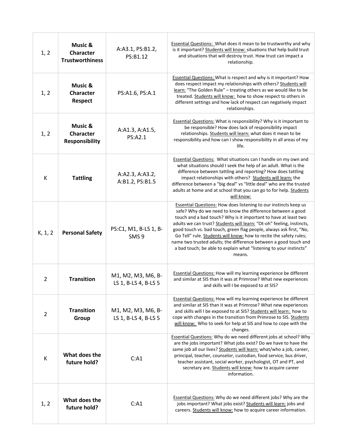| 1, 2           | Music &<br><b>Character</b><br><b>Trustworthiness</b> | A:A3.1, PS:B1.2,<br>PS:B1.12               | <b>Essential Questions: What does it mean to be trustworthy and why</b><br>is it important? Students will know: situations that help build trust<br>and situations that will destroy trust. How trust can impact a<br>relationship.                                                                                                                                                                                                                                                                                                                                                |
|----------------|-------------------------------------------------------|--------------------------------------------|------------------------------------------------------------------------------------------------------------------------------------------------------------------------------------------------------------------------------------------------------------------------------------------------------------------------------------------------------------------------------------------------------------------------------------------------------------------------------------------------------------------------------------------------------------------------------------|
| 1, 2           | Music &<br><b>Character</b><br><b>Respect</b>         | PS:A1.6, PS:A.1                            | <b>Essential Questions: What is respect and why is it important? How</b><br>does respect impact my relationships with others? Students will<br>learn: "The Golden Rule" - treating others as we would like to be<br>treated. Students will know: how to show respect to others in<br>different settings and how lack of respect can negatively impact<br>relationships.                                                                                                                                                                                                            |
| 1, 2           | Music &<br><b>Character</b><br><b>Responsibility</b>  | A:A1.3, A:A1.5,<br>PS:A2.1                 | <b>Essential Questions:</b> What is responsibility? Why is it important to<br>be responsible? How does lack of responsibility impact<br>relationships. Students will learn: what does it mean to be<br>responsibility and how can I show responsibility in all areas of my<br>life.                                                                                                                                                                                                                                                                                                |
| К              | <b>Tattling</b>                                       | A:A2.3, A:A3.2,<br>A:B1.2, PS:B1.5         | <b>Essential Questions:</b> What situations can I handle on my own and<br>what situations should I seek the help of an adult. What is the<br>difference between tattling and reporting? How does tattling<br>impact relationships with others? Students will learn: the<br>difference between a "big deal" vs "little deal" who are the trusted<br>adults at home and at school that you can go to for help. Students<br>will know:                                                                                                                                                |
| K, 1, 2        | <b>Personal Safety</b>                                | PS:C1, M1, B-LS 1, B-<br>SMS <sub>9</sub>  | <b>Essential Questions: How does listening to our instincts keep us</b><br>safe? Why do we need to know the difference between a good<br>touch and a bad touch? Why is it important to have at least two<br>adults we can trust? Students will learn: "Ot-oh" feeling, instincts,<br>good touch vs. bad touch, green flag people, always ask first, "No,<br>Go Tell" rule. Students will know: how to recite the safety rules;<br>name two trusted adults; the difference between a good touch and<br>a bad touch; be able to explain what "listening to your instincts"<br>means. |
| $\overline{2}$ | <b>Transition</b>                                     | M1, M2, M3, M6, B-<br>LS 1, B-LS 4, B-LS 5 | <b>Essential Questions:</b> How will my learning experience be different<br>and similar at SIS than it was at Primrose? What new experiences<br>and skills will I be exposed to at SIS?                                                                                                                                                                                                                                                                                                                                                                                            |
| $\overline{2}$ | <b>Transition</b><br>Group                            | M1, M2, M3, M6, B-<br>LS 1, B-LS 4, B-LS 5 | <b>Essential Questions: How will my learning experience be different</b><br>and similar at SIS than it was at Primrose? What new experiences<br>and skills will I be exposed to at SIS? Students will learn: how to<br>cope with changes in the transition from Primrose to SIS. Students<br>will know: Who to seek for help at SIS and how to cope with the<br>changes.                                                                                                                                                                                                           |
| К              | What does the<br>future hold?                         | C: A1                                      | <b>Essential Questions:</b> Why do we need different jobs at school? Why<br>are the jobs important? What jobs exist? Do we have to have the<br>same job all our lives? Students will learn: what/who a job, career,<br>principal, teacher, counselor, custodian, food service, bus driver,<br>teacher assistant, social worker, psychologist, OT and PT, and<br>secretary are. Students will know: how to acquire career<br>information.                                                                                                                                           |
| 1, 2           | What does the<br>future hold?                         | C: A1                                      | <b>Essential Questions:</b> Why do we need different jobs? Why are the<br>jobs important? What jobs exist? Students will learn: jobs and<br>careers. Students will know: how to acquire career information.                                                                                                                                                                                                                                                                                                                                                                        |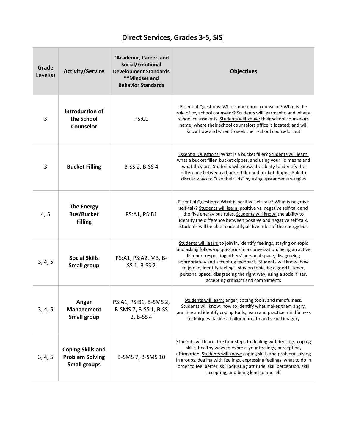# **Direct Services, Grades 3-5, SIS**

| Grade<br>Level(s) | <b>Activity/Service</b>                                                   | *Academic, Career, and<br>Social/Emotional<br><b>Development Standards</b><br>**Mindset and<br><b>Behavior Standards</b> | <b>Objectives</b>                                                                                                                                                                                                                                                                                                                                                                                                                                       |
|-------------------|---------------------------------------------------------------------------|--------------------------------------------------------------------------------------------------------------------------|---------------------------------------------------------------------------------------------------------------------------------------------------------------------------------------------------------------------------------------------------------------------------------------------------------------------------------------------------------------------------------------------------------------------------------------------------------|
| 3                 | Introduction of<br>the School<br>Counselor                                | PS:C1                                                                                                                    | <b>Essential Questions:</b> Who is my school counselor? What is the<br>role of my school counselor? Students will learn: who and what a<br>school counselor is. Students will know: their school counselors<br>name; where their school counselors office is located; and will<br>know how and when to seek their school counselor out                                                                                                                  |
| 3                 | <b>Bucket Filling</b>                                                     | B-SS 2, B-SS 4                                                                                                           | <b>Essential Questions: What is a bucket filler? Students will learn:</b><br>what a bucket filler, bucket dipper, and using your lid means and<br>what they are. Students will know: the ability to identify the<br>difference between a bucket filler and bucket dipper. Able to<br>discuss ways to "use their lids" by using upstander strategies                                                                                                     |
| 4, 5              | <b>The Energy</b><br><b>Bus/Bucket</b><br><b>Filling</b>                  | PS:A1, PS:B1                                                                                                             | <b>Essential Questions: What is positive self-talk? What is negative</b><br>self-talk? Students will learn: positive vs. negative self-talk and<br>the five energy bus rules. Students will know: the ability to<br>identify the difference between positive and negative self-talk.<br>Students will be able to identify all five rules of the energy bus                                                                                              |
| 3, 4, 5           | <b>Social Skills</b><br><b>Small group</b>                                | PS:A1, PS:A2, M3, B-<br>SS 1, B-SS 2                                                                                     | Students will learn: to join in, identify feelings, staying on topic<br>and asking follow-up questions in a conversation, being an active<br>listener, respecting others' personal space, disagreeing<br>appropriately and accepting feedback. Students will know: how<br>to join in, identify feelings, stay on topic, be a good listener,<br>personal space, disagreeing the right way, using a social filter,<br>accepting criticism and compliments |
| 3, 4, 5           | Anger<br>Management<br><b>Small group</b>                                 | PS:A1, PS:B1, B-SMS 2,<br>B-SMS 7, B-SS 1, B-SS<br>2, B-SS 4                                                             | Students will learn: anger, coping tools, and mindfulness.<br>Students will know: how to identify what makes them angry,<br>practice and identify coping tools, learn and practice mindfulness<br>techniques: taking a balloon breath and visual imagery                                                                                                                                                                                                |
| 3, 4, 5           | <b>Coping Skills and</b><br><b>Problem Solving</b><br><b>Small groups</b> | B-SMS 7, B-SMS 10                                                                                                        | Students will learn: the four steps to dealing with feelings, coping<br>skills, healthy ways to express your feelings, perception,<br>affirmation. Students will know: coping skills and problem solving<br>in groups, dealing with feelings, expressing feelings, what to do in<br>order to feel better, skill adjusting attitude, skill perception, skill<br>accepting, and being kind to oneself                                                     |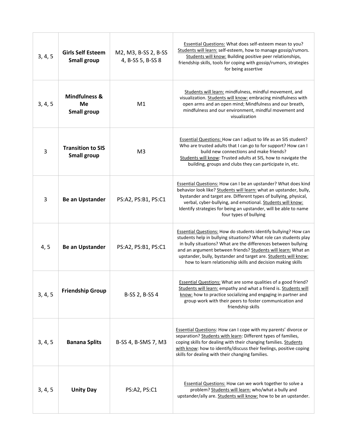| 3, 4, 5        | <b>Girls Self Esteem</b><br><b>Small group</b>              | M2, M3, B-SS 2, B-SS<br>4, B-SS 5, B-SS 8 | Essential Questions: What does self-esteem mean to you?<br>Students will learn: self-esteem, how to manage gossip/rumors.<br>Students will know: Building positive peer relationships,<br>friendship skills, tools for coping with gossip/rumors, strategies<br>for being assertive                                                                                                                              |
|----------------|-------------------------------------------------------------|-------------------------------------------|------------------------------------------------------------------------------------------------------------------------------------------------------------------------------------------------------------------------------------------------------------------------------------------------------------------------------------------------------------------------------------------------------------------|
| 3, 4, 5        | <b>Mindfulness &amp;</b><br><b>Me</b><br><b>Small group</b> | M <sub>1</sub>                            | Students will learn: mindfulness, mindful movement, and<br>visualization. Students will know: embracing mindfulness with<br>open arms and an open mind; Mindfulness and our breath,<br>mindfulness and our environment, mindful movement and<br>visualization                                                                                                                                                    |
| $\overline{3}$ | <b>Transition to SIS</b><br><b>Small group</b>              | M <sub>3</sub>                            | <b>Essential Questions: How can I adjust to life as an SIS student?</b><br>Who are trusted adults that I can go to for support? How can I<br>build new connections and make friends?<br>Students will know: Trusted adults at SIS, how to navigate the<br>building, groups and clubs they can participate in, etc.                                                                                               |
| $\overline{3}$ | <b>Be an Upstander</b>                                      | PS:A2, PS:B1, PS:C1                       | <b>Essential Questions: How can I be an upstander? What does kind</b><br>behavior look like? Students will learn: what an upstander, bully,<br>bystander and target are. Different types of bullying, physical,<br>verbal, cyber-bullying, and emotional. Students will know:<br>Identify strategies for being an upstander, will be able to name<br>four types of bullying                                      |
| 4, 5           | <b>Be an Upstander</b>                                      | PS:A2, PS:B1, PS:C1                       | <b>Essential Questions: How do students identify bullying? How can</b><br>students help in bullying situations? What role can students play<br>in bully situations? What are the differences between bullying<br>and an argument between friends? Students will learn: What an<br>upstander, bully, bystander and target are. Students will know:<br>how to learn relationship skills and decision making skills |
| 3, 4, 5        | <b>Friendship Group</b>                                     | B-SS 2, B-SS 4                            | <b>Essential Questions:</b> What are some qualities of a good friend?<br>Students will learn: empathy and what a friend is. Students will<br>know: how to practice socializing and engaging in partner and<br>group work with their peers to foster communication and<br>friendship skills                                                                                                                       |
| 3, 4, 5        | <b>Banana Splits</b>                                        | B-SS 4, B-SMS 7, M3                       | <b>Essential Questions: How can I cope with my parents' divorce or</b><br>separation? Students with learn: Different types of families,<br>coping skills for dealing with their changing families. Students<br>with know: how to identify/discuss their feelings, positive coping<br>skills for dealing with their changing families.                                                                            |
| 3, 4, 5        | <b>Unity Day</b>                                            | PS:A2, PS:C1                              | <b>Essential Questions: How can we work together to solve a</b><br>problem? Students will learn: who/what a bully and<br>upstander/ally are. Students will know: how to be an upstander.                                                                                                                                                                                                                         |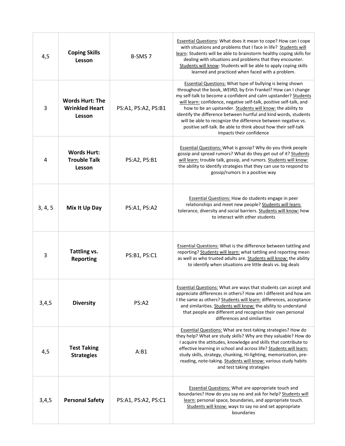| 4,5     | <b>Coping Skills</b><br>Lesson                            | B-SMS <sub>7</sub>  | <b>Essential Questions: What does it mean to cope? How can I cope</b><br>with situations and problems that I face in life? Students will<br>learn: Students will be able to brainstorm healthy coping skills for<br>dealing with situations and problems that they encounter.<br>Students will know: Students will be able to apply coping skills<br>learned and practiced when faced with a problem.                                                                                                                                                                        |
|---------|-----------------------------------------------------------|---------------------|------------------------------------------------------------------------------------------------------------------------------------------------------------------------------------------------------------------------------------------------------------------------------------------------------------------------------------------------------------------------------------------------------------------------------------------------------------------------------------------------------------------------------------------------------------------------------|
| 3       | <b>Words Hurt: The</b><br><b>Wrinkled Heart</b><br>Lesson | PS:A1, PS:A2, PS:B1 | <b>Essential Questions: What type of bullying is being shown</b><br>throughout the book, WEIRD, by Erin Frankel? How can I change<br>my self-talk to become a confident and calm upstander? Students<br>will learn: confidence, negative self-talk, positive self-talk, and<br>how to be an upstander. Students will know: the ability to<br>identify the difference between hurtful and kind words, students<br>will be able to recognize the difference between negative vs.<br>positive self-talk. Be able to think about how their self-talk<br>impacts their confidence |
| 4       | <b>Words Hurt:</b><br><b>Trouble Talk</b><br>Lesson       | PS:A2, PS:B1        | <b>Essential Questions: What is gossip? Why do you think people</b><br>gossip and spread rumors? What do they get out of it? Students<br>will learn: trouble talk, gossip, and rumors. Students will know:<br>the ability to identify strategies that they can use to respond to<br>gossip/rumors in a positive way                                                                                                                                                                                                                                                          |
| 3, 4, 5 | Mix It Up Day                                             | PS:A1, PS:A2        | <b>Essential Questions: How do students engage in peer</b><br>relationships and meet new people? Students will learn:<br>tolerance, diversity and social barriers. Students will know: how<br>to interact with other students                                                                                                                                                                                                                                                                                                                                                |
| 3       | Tattling vs.<br><b>Reporting</b>                          | PS:B1, PS:C1        | <b>Essential Questions:</b> What is the difference between tattling and<br>reporting? Students will learn: what tattling and reporting mean<br>as well as who trusted adults are. Students will know: the ability<br>to identify when situations are little deals vs. big deals                                                                                                                                                                                                                                                                                              |
| 3,4,5   | <b>Diversity</b>                                          | PS:A2               | <b>Essential Questions: What are ways that students can accept and</b><br>appreciate differences in others? How am I different and how am<br>I the same as others? Students will learn: differences, acceptance<br>and similarities. Students will know: the ability to understand<br>that people are different and recognize their own personal<br>differences and similarities                                                                                                                                                                                             |
| 4,5     | <b>Test Taking</b><br><b>Strategies</b>                   | A:B1                | <b>Essential Questions: What are test-taking strategies? How do</b><br>they help? What are study skills? Why are they valuable? How do<br>I acquire the attitudes, knowledge and skills that contribute to<br>effective learning in school and across life? Students will learn:<br>study skills, strategy, chunking, Hi-lighting, memorization, pre-<br>reading, note-taking. Students will know: various study habits<br>and test taking strategies                                                                                                                        |
| 3,4,5   | <b>Personal Safety</b>                                    | PS:A1, PS:A2, PS:C1 | <b>Essential Questions: What are appropriate touch and</b><br>boundaries? How do you say no and ask for help? Students will<br>learn: personal space, boundaries, and appropriate touch.<br>Students will know: ways to say no and set appropriate<br>boundaries                                                                                                                                                                                                                                                                                                             |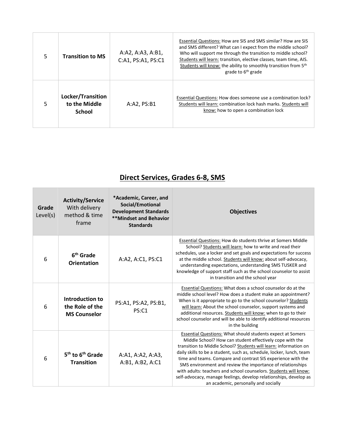| 5 | <b>Transition to MS</b>                             | A:A2, A:A3, A:B1,<br>C:A1, PS:A1, PS:C1 | Essential Questions: How are SIS and SMS similar? How are SIS<br>and SMS different? What can I expect from the middle school?<br>Who will support me through the transition to middle school?<br>Students will learn: transition, elective classes, team time, AIS.<br>Students will know: the ability to smoothly transition from 5 <sup>th</sup><br>grade to 6 <sup>th</sup> grade |
|---|-----------------------------------------------------|-----------------------------------------|--------------------------------------------------------------------------------------------------------------------------------------------------------------------------------------------------------------------------------------------------------------------------------------------------------------------------------------------------------------------------------------|
| 5 | Locker/Transition<br>to the Middle<br><b>School</b> | A:A2, PS:B1                             | Essential Questions: How does someone use a combination lock?<br>Students will learn: combination lock hash marks. Students will<br>know: how to open a combination lock                                                                                                                                                                                                             |

# **Direct Services, Grades 6-8, SMS**

| Grade<br>Level(s) | <b>Activity/Service</b><br>With delivery<br>method & time<br>frame | *Academic, Career, and<br>Social/Emotional<br><b>Development Standards</b><br><b>**Mindset and Behavior</b><br><b>Standards</b> | <b>Objectives</b>                                                                                                                                                                                                                                                                                                                                                                                                                                                                                                                                                                 |
|-------------------|--------------------------------------------------------------------|---------------------------------------------------------------------------------------------------------------------------------|-----------------------------------------------------------------------------------------------------------------------------------------------------------------------------------------------------------------------------------------------------------------------------------------------------------------------------------------------------------------------------------------------------------------------------------------------------------------------------------------------------------------------------------------------------------------------------------|
| 6                 | 6 <sup>th</sup> Grade<br><b>Orientation</b>                        | A:A2, A:C1, PS:C1                                                                                                               | <b>Essential Questions: How do students thrive at Somers Middle</b><br>School? Students will learn: how to write and read their<br>schedules, use a locker and set goals and expectations for success<br>at the middle school. Students will know: about self-advocacy,<br>understanding expectations, understanding SMS TUSKER and<br>knowledge of support staff such as the school counselor to assist<br>in transition and the school year                                                                                                                                     |
| 6                 | Introduction to<br>the Role of the<br><b>MS Counselor</b>          | PS:A1, PS:A2, PS:B1,<br>PS:C1                                                                                                   | Essential Questions: What does a school counselor do at the<br>middle school level? How does a student make an appointment?<br>When is it appropriate to go to the school counselor? Students<br>will learn: About the school counselor, support systems and<br>additional resources. Students will know: when to go to their<br>school counselor and will be able to identify additional resources<br>in the building                                                                                                                                                            |
| 6                 | 5 <sup>th</sup> to 6 <sup>th</sup> Grade<br><b>Transition</b>      | A:A1, A:A2, A:A3,<br>A:B1, A:B2, A:C1                                                                                           | Essential Questions: What should students expect at Somers<br>Middle School? How can student effectively cope with the<br>transition to Middle School? Students will learn: information on<br>daily skills to be a student, such as, schedule, locker, lunch, team<br>time and teams. Compare and contrast SIS experience with the<br>SMS environment and review the importance of relationships<br>with adults: teachers and school counselors. Students will know:<br>self-advocacy, manage feelings, develop relationships, develop as<br>an academic, personally and socially |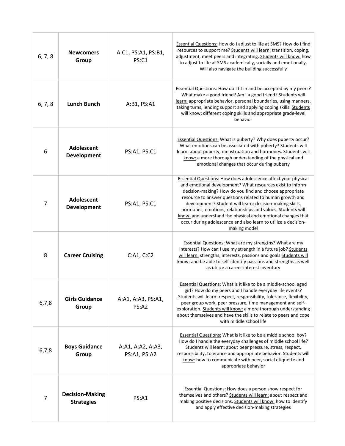| 6, 7, 8        | <b>Newcomers</b><br>Group                   | A:C1, PS:A1, PS:B1,<br>PS:C1      | <b>Essential Questions: How do I adjust to life at SMS? How do I find</b><br>resources to support me? Students will learn: transition, coping,<br>adjustment, meet peers and integrating. Students will know: how<br>to adjust to life at SMS academically, socially and emotionally.<br>Will also navigate the building successfully                                                                                                                                                                                                  |
|----------------|---------------------------------------------|-----------------------------------|----------------------------------------------------------------------------------------------------------------------------------------------------------------------------------------------------------------------------------------------------------------------------------------------------------------------------------------------------------------------------------------------------------------------------------------------------------------------------------------------------------------------------------------|
| 6, 7, 8        | <b>Lunch Bunch</b>                          | A:B1, PS:A1                       | Essential Questions: How do I fit in and be accepted by my peers?<br>What make a good friend? Am I a good friend? Students will<br>learn: appropriate behavior, personal boundaries, using manners,<br>taking turns, lending support and applying coping skills. Students<br>will know: different coping skills and appropriate grade-level<br>behavior                                                                                                                                                                                |
| 6              | Adolescent<br>Development                   | PS:A1, PS:C1                      | <b>Essential Questions: What is puberty? Why does puberty occur?</b><br>What emotions can be associated with puberty? Students will<br>learn: about puberty, menstruation and hormones. Students will<br>know: a more thorough understanding of the physical and<br>emotional changes that occur during puberty                                                                                                                                                                                                                        |
| 7              | Adolescent<br>Development                   | PS:A1, PS:C1                      | <b>Essential Questions: How does adolescence affect your physical</b><br>and emotional development? What resources exist to inform<br>decision-making? How do you find and choose appropriate<br>resource to answer questions related to human growth and<br>development? Student will learn: decision-making skills,<br>hormones, emotions, relationships and values. Students will<br>know: and understand the physical and emotional changes that<br>occur during adolescence and also learn to utilize a decision-<br>making model |
| 8              | <b>Career Cruising</b>                      | C:A1, C:C2                        | <b>Essential Questions: What are my strengths? What are my</b><br>interests? How can I use my strength in a future job? Students<br>will learn: strengths, interests, passions and goals Students will<br>know: and be able to self-identify passions and strengths as well<br>as utilize a career interest inventory                                                                                                                                                                                                                  |
| 6,7,8          | <b>Girls Guidance</b><br>Group              | A:A1, A:A3, PS:A1,<br>PS:A2       | <b>Essential Questions: What is it like to be a middle-school aged</b><br>girl? How do my peers and I handle everyday life events?<br>Students will learn: respect, responsibility, tolerance, flexibility,<br>peer group work, peer pressure, time management and self-<br>exploration. Students will know: a more thorough understanding<br>about themselves and have the skills to relate to peers and cope<br>with middle school life                                                                                              |
| 6,7,8          | <b>Boys Guidance</b><br>Group               | A:A1, A:A2, A:A3,<br>PS:A1, PS:A2 | Essential Questions: What is it like to be a middle school boy?<br>How do I handle the everyday challenges of middle school life?<br>Students will learn: about peer pressure, stress, respect,<br>responsibility, tolerance and appropriate behavior. Students will<br>know: how to communicate with peer, social etiquette and<br>appropriate behavior                                                                                                                                                                               |
| $\overline{7}$ | <b>Decision-Making</b><br><b>Strategies</b> | PS:A1                             | <b>Essential Questions: How does a person show respect for</b><br>themselves and others? Students will learn: about respect and<br>making positive decisions. Students will know: how to identify<br>and apply effective decision-making strategies                                                                                                                                                                                                                                                                                    |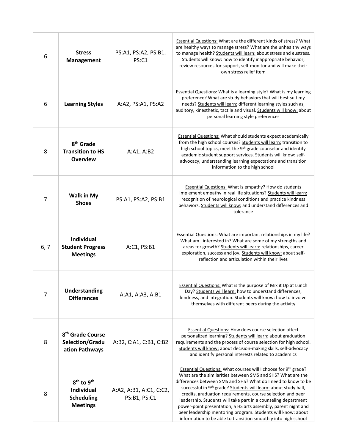| 6              | <b>Stress</b><br><b>Management</b>                                                              | PS:A1, PS:A2, PS:B1,<br>PS:C1           | <b>Essential Questions: What are the different kinds of stress? What</b><br>are healthy ways to manage stress? What are the unhealthy ways<br>to manage health? Students will learn: about stress and eustress.<br>Students will know: how to identify inappropriate behavior,<br>review resources for support, self-monitor and will make their<br>own stress relief item                                                                                                                                                                                                                             |
|----------------|-------------------------------------------------------------------------------------------------|-----------------------------------------|--------------------------------------------------------------------------------------------------------------------------------------------------------------------------------------------------------------------------------------------------------------------------------------------------------------------------------------------------------------------------------------------------------------------------------------------------------------------------------------------------------------------------------------------------------------------------------------------------------|
| 6              | <b>Learning Styles</b>                                                                          | A:A2, PS:A1, PS:A2                      | Essential Questions: What is a learning style? What is my learning<br>preference? What are study behaviors that will best suit my<br>needs? Students will learn: different learning styles such as,<br>auditory, kinesthetic, tactile and visual. Students will know: about<br>personal learning style preferences                                                                                                                                                                                                                                                                                     |
| 8              | 8 <sup>th</sup> Grade<br><b>Transition to HS</b><br><b>Overview</b>                             | A:A1, A:B2                              | <b>Essential Questions: What should students expect academically</b><br>from the high school courses? Students will learn: transition to<br>high school topics, meet the 9 <sup>th</sup> grade counselor and identify<br>academic student support services. Students will know: self-<br>advocacy, understanding learning expectations and transition<br>information to the high school                                                                                                                                                                                                                |
| $\overline{7}$ | <b>Walk in My</b><br><b>Shoes</b>                                                               | PS:A1, PS:A2, PS:B1                     | <b>Essential Questions: What is empathy? How do students</b><br>implement empathy in real life situations? Students will learn:<br>recognition of neurological conditions and practice kindness<br>behaviors. Students will know: and understand differences and<br>tolerance                                                                                                                                                                                                                                                                                                                          |
| 6, 7           | <b>Individual</b><br><b>Student Progress</b><br><b>Meetings</b>                                 | A:C1, PS:B1                             | <b>Essential Questions: What are important relationships in my life?</b><br>What am I interested in? What are some of my strengths and<br>areas for growth? Students will learn: relationships, career<br>exploration, success and joy. Students will know: about self-<br>reflection and articulation within their lives                                                                                                                                                                                                                                                                              |
| $\overline{7}$ | <b>Understanding</b><br><b>Differences</b>                                                      | A:A1, A:A3, A:B1                        | <b>Essential Questions: What is the purpose of Mix it Up at Lunch</b><br>Day? Students will learn: how to understand differences,<br>kindness, and integration. Students will know: how to involve<br>themselves with different peers during the activity                                                                                                                                                                                                                                                                                                                                              |
| 8              | 8 <sup>th</sup> Grade Course<br>Selection/Gradu<br>ation Pathways                               | A:B2, C:A1, C:B1, C:B2                  | Essential Questions: How does course selection affect<br>personalized learning? Students will learn: about graduation<br>requirements and the process of course selection for high school.<br>Students will know: about decision-making skills, self-advocacy<br>and identify personal interests related to academics                                                                                                                                                                                                                                                                                  |
| 8              | 8 <sup>th</sup> to 9 <sup>th</sup><br><b>Individual</b><br><b>Scheduling</b><br><b>Meetings</b> | A:A2, A:B1, A:C1, C:C2,<br>PS:B1, PS:C1 | Essential Questions: What courses will I choose for 9th grade?<br>What are the similarities between SMS and SHS? What are the<br>differences between SMS and SHS? What do I need to know to be<br>successful in 9th grade? Students will learn: about study hall,<br>credits, graduation requirements, course selection and peer<br>leadership. Students will take part in a counseling department<br>power-point presentation, a HS arts assembly, parent night and<br>peer leadership mentoring program. Students will know: about<br>information to be able to transition smoothly into high school |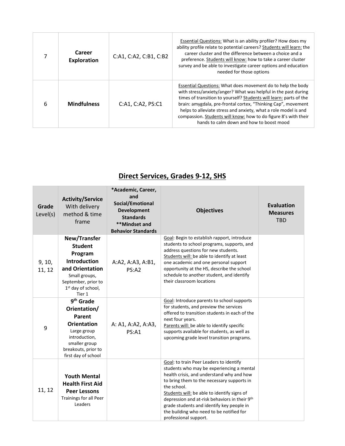|   | Career<br>Exploration | C:A1, C:A2, C:B1, C:B2 | Essential Questions: What is an ability profiler? How does my<br>ability profile relate to potential careers? Students will learn: the<br>career cluster and the difference between a choice and a<br>preference. Students will know: how to take a career cluster<br>survey and be able to investigate career options and education<br>needed for those options                                                                                       |
|---|-----------------------|------------------------|--------------------------------------------------------------------------------------------------------------------------------------------------------------------------------------------------------------------------------------------------------------------------------------------------------------------------------------------------------------------------------------------------------------------------------------------------------|
| 6 | <b>Mindfulness</b>    | C:A1, C:A2, PS: C1     | Essential Questions: What does movement do to help the body<br>with stress/anxiety/anger? What was helpful in the past during<br>times of transition to yourself? Students will learn: parts of the<br>brain: amygdala, pre-frontal cortex, "Thinking Cap", movement<br>helps to alleviate stress and anxiety, what a role model is and<br>compassion. Students will know: how to do figure 8's with their<br>hands to calm down and how to boost mood |

# **Direct Services, Grades 9-12, SHS**

| Grade<br>Level(s) | <b>Activity/Service</b><br>With delivery<br>method & time<br>frame                                                                                                      | *Academic, Career,<br>and<br>Social/Emotional<br><b>Development</b><br><b>Standards</b><br>**Mindset and<br><b>Behavior Standards</b> | <b>Objectives</b>                                                                                                                                                                                                                                                                                                                                                                                                | <b>Evaluation</b><br><b>Measures</b><br><b>TBD</b> |
|-------------------|-------------------------------------------------------------------------------------------------------------------------------------------------------------------------|---------------------------------------------------------------------------------------------------------------------------------------|------------------------------------------------------------------------------------------------------------------------------------------------------------------------------------------------------------------------------------------------------------------------------------------------------------------------------------------------------------------------------------------------------------------|----------------------------------------------------|
| 9, 10,<br>11, 12  | New/Transfer<br><b>Student</b><br>Program<br><b>Introduction</b><br>and Orientation<br>Small groups,<br>September, prior to<br>1 <sup>st</sup> day of school,<br>Tier 1 | A:A2, A:A3, A:B1,<br>PS:A2                                                                                                            | Goal: Begin to establish rapport, introduce<br>students to school programs, supports, and<br>address questions for new students.<br>Students will: be able to identify at least<br>one academic and one personal support<br>opportunity at the HS, describe the school<br>schedule to another student, and identify<br>their classroom locations                                                                 |                                                    |
| 9                 | 9 <sup>th</sup> Grade<br>Orientation/<br>Parent<br><b>Orientation</b><br>Large group<br>introduction,<br>smaller group<br>breakouts, prior to<br>first day of school    | A: A1, A:A2, A:A3,<br><b>PS:A1</b>                                                                                                    | Goal: Introduce parents to school supports<br>for students, and preview the services<br>offered to transition students in each of the<br>next four years.<br>Parents will: be able to identify specific<br>supports available for students, as well as<br>upcoming grade level transition programs.                                                                                                              |                                                    |
| 11, 12            | <b>Youth Mental</b><br><b>Health First Aid</b><br><b>Peer Lessons</b><br>Trainings for all Peer<br>Leaders                                                              |                                                                                                                                       | Goal: to train Peer Leaders to identify<br>students who may be experiencing a mental<br>health crisis, and understand why and how<br>to bring them to the necessary supports in<br>the school.<br>Students will: be able to identify signs of<br>depression and at-risk behaviors in their 9th<br>grade students and identify key people in<br>the building who need to be notified for<br>professional support. |                                                    |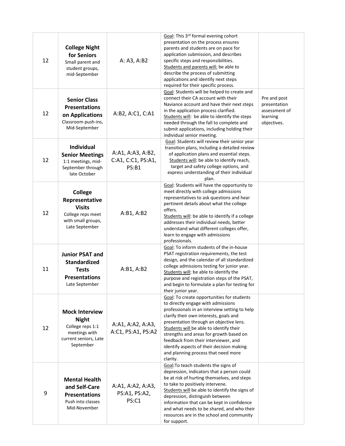| 12 | <b>College Night</b><br>for Seniors<br>Small parent and<br>student groups,<br>mid-September                      | A: A3, A:B2                                      | Goal: This 3rd formal evening cohort<br>presentation on the process ensures<br>parents and students are on pace for<br>application submission, and describes<br>specific steps and responsibilities.<br>Students and parents will: be able to<br>describe the process of submitting<br>applications and identify next steps<br>required for their specific process.                                                                                  |                                                                          |
|----|------------------------------------------------------------------------------------------------------------------|--------------------------------------------------|------------------------------------------------------------------------------------------------------------------------------------------------------------------------------------------------------------------------------------------------------------------------------------------------------------------------------------------------------------------------------------------------------------------------------------------------------|--------------------------------------------------------------------------|
| 12 | <b>Senior Class</b><br><b>Presentations</b><br>on Applications<br>Classroom push-ins,<br>Mid-September           | A:B2, A:C1, C:A1                                 | Goal: Students will be helped to create and<br>connect their CA account with their<br>Naviance account and have their next steps<br>in the application process clarified.<br>Students will: be able to identify the steps<br>needed through the fall to complete and<br>submit applications, including holding their<br>individual senior meeting.                                                                                                   | Pre and post<br>presentation<br>assessment of<br>learning<br>objectives. |
| 12 | Individual<br><b>Senior Meetings</b><br>1:1 meetings, mid-<br>September through<br>late October                  | A:A1, A:A3, A:B2,<br>C:A1, C:C1, PS:A1,<br>PS:B1 | Goal: Students will review their senior year<br>transition plans, including a detailed review<br>of application plans and essential steps.<br>Students will: be able to identify reach,<br>target and safety college options, and<br>express understanding of their individual<br>plan.                                                                                                                                                              |                                                                          |
| 12 | <b>College</b><br>Representative<br><b>Visits</b><br>College reps meet<br>with small groups,<br>Late September   | A:B1, A:B2                                       | Goal: Students will have the opportunity to<br>meet directly with college admissions<br>representatives to ask questions and hear<br>pertinent details about what the college<br>offers.<br>Students will: be able to identify if a college<br>addresses their individual needs, better<br>understand what different colleges offer,<br>learn to engage with admissions<br>professionals.                                                            |                                                                          |
| 11 | <b>Junior PSAT and</b><br><b>Standardized</b><br><b>Tests</b><br><b>Presentations</b><br>Late September          | A:B1, A:B2                                       | Goal: To inform students of the in-house<br>PSAT registration requirements, the test<br>design, and the calendar of all standardized<br>college admissions testing for junior year.<br>Students will: be able to identify the<br>purpose and registration steps of the PSAT,<br>and begin to formulate a plan for testing for<br>their junior year.                                                                                                  |                                                                          |
| 12 | <b>Mock Interview</b><br><b>Night</b><br>College reps 1:1<br>meetings with<br>current seniors, Late<br>September | A:A1, A:A2, A:A3,<br>A:C1, PS:A1, PS:A2          | Goal: To create opportunities for students<br>to directly engage with admissions<br>professionals in an interview setting to help<br>clarify their own interests, goals and<br>presentation through an objective lens.<br>Students will be able to identify their<br>strengths and areas for growth based on<br>feedback from their interviewer, and<br>identify aspects of their decision making<br>and planning process that need more<br>clarity. |                                                                          |
| 9  | <b>Mental Health</b><br>and Self-Care<br><b>Presentations</b><br>Push into classes<br>Mid-November               | A:A1, A:A2, A:A3,<br>PS:A1, PS:A2,<br>PS:C1      | Goal: To teach students the signs of<br>depression, indicators that a person could<br>be at risk of hurting themselves, and steps<br>to take to positively intervene.<br>Students will be able to identify the signs of<br>depression, distinguish between<br>information that can be kept in confidence<br>and what needs to be shared, and who their<br>resources are in the school and community<br>for support.                                  |                                                                          |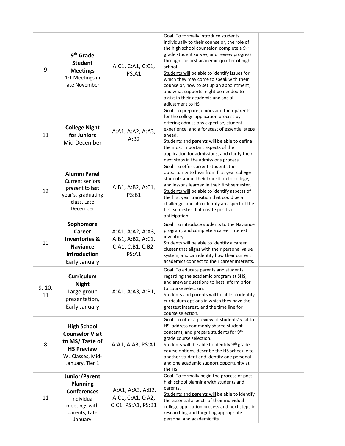| 9            | 9 <sup>th</sup> Grade<br><b>Student</b><br><b>Meetings</b><br>1:1 Meetings in<br>late November                             | A:C1, C:A1, C:C1,<br>PS: A1                                          | Goal: To formally introduce students<br>individually to their counselor, the role of<br>the high school counselor, complete a 9th<br>grade student survey, and review progress<br>through the first academic quarter of high<br>school.<br>Students will be able to identify issues for<br>which they may come to speak with their<br>counselor, how to set up an appointment,<br>and what supports might be needed to<br>assist in their academic and social<br>adjustment to HS. |  |
|--------------|----------------------------------------------------------------------------------------------------------------------------|----------------------------------------------------------------------|------------------------------------------------------------------------------------------------------------------------------------------------------------------------------------------------------------------------------------------------------------------------------------------------------------------------------------------------------------------------------------------------------------------------------------------------------------------------------------|--|
| 11           | <b>College Night</b><br>for Juniors<br>Mid-December                                                                        | A:A1, A:A2, A:A3,<br>A:B2                                            | Goal: To prepare juniors and their parents<br>for the college application process by<br>offering admissions expertise, student<br>experience, and a forecast of essential steps<br>ahead.<br>Students and parents will be able to define<br>the most important aspects of the<br>application for admissions, and clarify their<br>next steps in the admissions process.                                                                                                            |  |
| 12           | <b>Alumni Panel</b><br><b>Current seniors</b><br>present to last<br>year's, graduating<br>class, Late<br>December          | A:B1, A:B2, A:C1,<br>PS:B1                                           | Goal: To offer current students the<br>opportunity to hear from first year college<br>students about their transition to college,<br>and lessons learned in their first semester.<br>Students will be able to identify aspects of<br>the first year transition that could be a<br>challenge, and also identify an aspect of the<br>first semester that create positive<br>anticipation.                                                                                            |  |
| 10           | Sophomore<br>Career<br><b>Inventories &amp;</b><br><b>Naviance</b><br><b>Introduction</b><br>Early January                 | A:A1, A:A2, A:A3,<br>A:B1, A:B2, A:C1,<br>C:A1, C:B1, C:B2,<br>PS:A1 | Goal: To introduce students to the Naviance<br>program, and complete a career interest<br>inventory.<br>Students will be able to identify a career<br>cluster that aligns with their personal value<br>system, and can identify how their current<br>academics connect to their career interests.                                                                                                                                                                                  |  |
| 9, 10,<br>11 | <b>Curriculum</b><br><b>Night</b><br>Large group<br>presentation,<br>Early January                                         | A:A1, A:A3, A:B1,                                                    | Goal: To educate parents and students<br>regarding the academic program at SHS,<br>and answer questions to best inform prior<br>to course selection.<br>Students and parents will be able to identify<br>curriculum options in which they have the<br>greatest interest, and the time line for<br>course selection.                                                                                                                                                                |  |
| 8            | <b>High School</b><br><b>Counselor Visit</b><br>to MS/Taste of<br><b>HS Preview</b><br>WL Classes, Mid-<br>January, Tier 1 | A:A1, A:A3, PS:A1                                                    | Goal: To offer a preview of students' visit to<br>HS, address commonly shared student<br>concerns, and prepare students for 9th<br>grade course selection.<br>Students will: be able to identify 9th grade<br>course options, describe the HS schedule to<br>another student and identify one personal<br>and one academic support opportunity at<br>the HS                                                                                                                        |  |
| 11           | Junior/Parent<br><b>Planning</b><br><b>Conferences</b><br>Individual<br>meetings with<br>parents, Late<br>January          | A:A1, A:A3, A:B2,<br>A:C1, C:A1, C:A2,<br>C:C1, PS:A1, PS:B1         | Goal: To formally begin the process of post<br>high school planning with students and<br>parents.<br>Students and parents will be able to identify<br>the essential aspects of their individual<br>college application process and next steps in<br>researching and targeting appropriate<br>personal and academic fits.                                                                                                                                                           |  |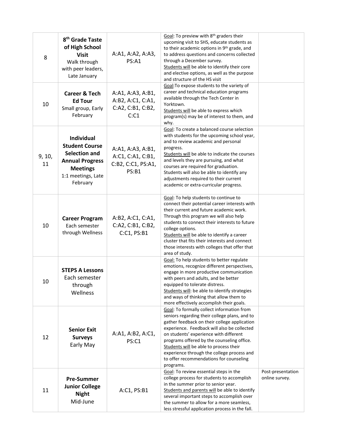| 8            | 8 <sup>th</sup> Grade Taste<br>of High School<br><b>Visit</b><br>Walk through<br>with peer leaders,<br>Late January                 | A:A1, A:A2, A:A3,<br>PS:A1                                            | Goal: To preview with 8th graders their<br>upcoming visit to SHS, educate students as<br>to their academic options in 9th grade, and<br>to address questions and concerns collected<br>through a December survey.<br>Students will be able to identify their core<br>and elective options, as well as the purpose<br>and structure of the HS visit                                                                                 |                                     |
|--------------|-------------------------------------------------------------------------------------------------------------------------------------|-----------------------------------------------------------------------|------------------------------------------------------------------------------------------------------------------------------------------------------------------------------------------------------------------------------------------------------------------------------------------------------------------------------------------------------------------------------------------------------------------------------------|-------------------------------------|
| 10           | <b>Career &amp; Tech</b><br><b>Ed Tour</b><br>Small group, Early<br>February                                                        | A:A1, A:A3, A:B1,<br>A:B2, A:C1, C:A1,<br>C:A2, C:B1, C:B2,<br>C: C1  | Goal: To expose students to the variety of<br>career and technical education programs<br>available through the Tech Center in<br>Yorktown.<br>Students will be able to express which<br>program(s) may be of interest to them, and<br>why.                                                                                                                                                                                         |                                     |
| 9, 10,<br>11 | Individual<br><b>Student Course</b><br>Selection and<br><b>Annual Progress</b><br><b>Meetings</b><br>1:1 meetings, Late<br>February | A:A1, A:A3, A:B1,<br>A:C1, C:A1, C:B1,<br>C:B2, C:C1, PS:A1,<br>PS:B1 | Goal: To create a balanced course selection<br>with students for the upcoming school year,<br>and to review academic and personal<br>progress.<br>Students will be able to indicate the courses<br>and levels they are pursuing, and what<br>courses are required for graduation.<br>Students will also be able to identify any<br>adjustments required to their current<br>academic or extra-curricular progress.                 |                                     |
| 10           | <b>Career Program</b><br>Each semester<br>through Wellness                                                                          | A:B2, A:C1, C:A1,<br>C:A2, C:B1, C:B2,<br>C: C1, PS:B1                | Goal: To help students to continue to<br>connect their potential career interests with<br>their current and future academic work.<br>Through this program we will also help<br>students to connect their interests to future<br>college options.<br>Students will be able to identify a career<br>cluster that fits their interests and connect<br>those interests with colleges that offer that<br>area of study.                 |                                     |
| 10           | <b>STEPS A Lessons</b><br>Each semester<br>through<br>Wellness                                                                      |                                                                       | Goal: To help students to better regulate<br>emotions, recognize different perspectives,<br>engage in more productive communication<br>with peers and adults, and be better<br>equipped to tolerate distress.<br>Students will: be able to identify strategies<br>and ways of thinking that allow them to<br>more effectively accomplish their goals.                                                                              |                                     |
| 12           | <b>Senior Exit</b><br><b>Surveys</b><br>Early May                                                                                   | A:A1, A:B2, A:C1,<br>PS:C1                                            | Goal: To formally collect information from<br>seniors regarding their college plans, and to<br>gather feedback on their college application<br>experience. Feedback will also be collected<br>on students' experience with different<br>programs offered by the counseling office.<br>Students will be able to process their<br>experience through the college process and<br>to offer recommendations for counseling<br>programs. |                                     |
| 11           | <b>Pre-Summer</b><br><b>Junior College</b><br><b>Night</b><br>Mid-June                                                              | A:C1, PS:B1                                                           | Goal: To review essential steps in the<br>college process for students to accomplish<br>in the summer prior to senior year.<br>Students and parents will be able to identify<br>several important steps to accomplish over<br>the summer to allow for a more seamless,<br>less stressful application process in the fall.                                                                                                          | Post-presentation<br>online survey. |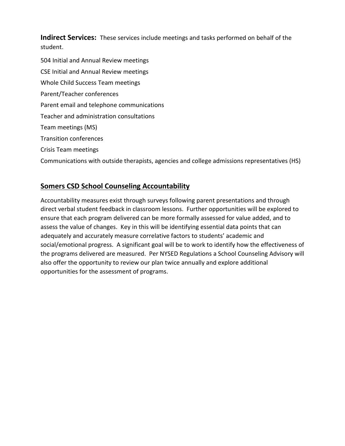**Indirect Services:** These services include meetings and tasks performed on behalf of the student.

504 Initial and Annual Review meetings CSE Initial and Annual Review meetings Whole Child Success Team meetings Parent/Teacher conferences Parent email and telephone communications Teacher and administration consultations Team meetings (MS) Transition conferences Crisis Team meetings

Communications with outside therapists, agencies and college admissions representatives (HS)

# **Somers CSD School Counseling Accountability**

Accountability measures exist through surveys following parent presentations and through direct verbal student feedback in classroom lessons. Further opportunities will be explored to ensure that each program delivered can be more formally assessed for value added, and to assess the value of changes. Key in this will be identifying essential data points that can adequately and accurately measure correlative factors to students' academic and social/emotional progress. A significant goal will be to work to identify how the effectiveness of the programs delivered are measured. Per NYSED Regulations a School Counseling Advisory will also offer the opportunity to review our plan twice annually and explore additional opportunities for the assessment of programs.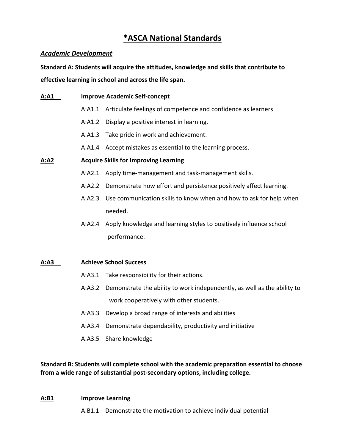# **\*ASCA National Standards**

# *Academic Development*

**Standard A: Students will acquire the attitudes, knowledge and skills that contribute to effective learning in school and across the life span.**

**A:A1 Improve Academic Self-concept** A:A1.1 Articulate feelings of competence and confidence as learners A:A1.2 Display a positive interest in learning. A:A1.3 Take pride in work and achievement. A:A1.4 Accept mistakes as essential to the learning process. **A:A2 Acquire Skills for Improving Learning** A:A2.1 Apply time-management and task-management skills. A:A2.2 Demonstrate how effort and persistence positively affect learning. A:A2.3 Use communication skills to know when and how to ask for help when needed. A:A2.4 Apply knowledge and learning styles to positively influence school performance. **A:A3 Achieve School Success** A:A3.1 Take responsibility for their actions. A:A3.2 Demonstrate the ability to work independently, as well as the ability to work cooperatively with other students. A:A3.3 Develop a broad range of interests and abilities A:A3.4 Demonstrate dependability, productivity and initiative A:A3.5 Share knowledge

**Standard B: Students will complete school with the academic preparation essential to choose from a wide range of substantial post-secondary options, including college.** 

# **A:B1 Improve Learning**

A:B1.1 Demonstrate the motivation to achieve individual potential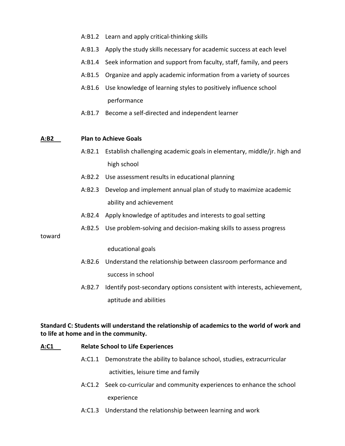- A:B1.2 Learn and apply critical-thinking skills
- A:B1.3 Apply the study skills necessary for academic success at each level
- A:B1.4 Seek information and support from faculty, staff, family, and peers
- A:B1.5 Organize and apply academic information from a variety of sources
- A:B1.6 Use knowledge of learning styles to positively influence school performance
- A:B1.7 Become a self-directed and independent learner

## **A:B2 Plan to Achieve Goals**

- A:B2.1 Establish challenging academic goals in elementary, middle/jr. high and high school
- A:B2.2 Use assessment results in educational planning
- A:B2.3 Develop and implement annual plan of study to maximize academic ability and achievement
- A:B2.4 Apply knowledge of aptitudes and interests to goal setting
- A:B2.5 Use problem-solving and decision-making skills to assess progress

toward

educational goals

- A:B2.6 Understand the relationship between classroom performance and success in school
- A:B2.7 Identify post-secondary options consistent with interests, achievement, aptitude and abilities

# **Standard C: Students will understand the relationship of academics to the world of work and to life at home and in the community.**

### **A:C1 Relate School to Life Experiences**

- A:C1.1 Demonstrate the ability to balance school, studies, extracurricular activities, leisure time and family
- A:C1.2 Seek co-curricular and community experiences to enhance the school experience
- A:C1.3 Understand the relationship between learning and work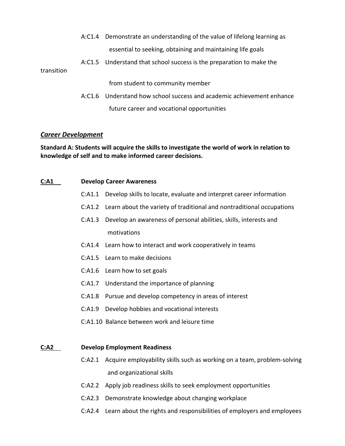- A:C1.4 Demonstrate an understanding of the value of lifelong learning as essential to seeking, obtaining and maintaining life goals
- A:C1.5 Understand that school success is the preparation to make the

#### transition

from student to community member

A:C1.6 Understand how school success and academic achievement enhance future career and vocational opportunities

# *Career Development*

**Standard A: Students will acquire the skills to investigate the world of work in relation to knowledge of self and to make informed career decisions.**

#### **C:A1 Develop Career Awareness**

- C:A1.1 Develop skills to locate, evaluate and interpret career information
- C:A1.2 Learn about the variety of traditional and nontraditional occupations
- C:A1.3 Develop an awareness of personal abilities, skills, interests and motivations
- C:A1.4 Learn how to interact and work cooperatively in teams
- C:A1.5 Learn to make decisions
- C:A1.6 Learn how to set goals
- C:A1.7 Understand the importance of planning
- C:A1.8 Pursue and develop competency in areas of interest
- C:A1.9 Develop hobbies and vocational interests
- C:A1.10 Balance between work and leisure time

#### **C:A2 Develop Employment Readiness**

- C:A2.1 Acquire employability skills such as working on a team, problem-solving and organizational skills
- C:A2.2 Apply job readiness skills to seek employment opportunities
- C:A2.3 Demonstrate knowledge about changing workplace
- C:A2.4 Learn about the rights and responsibilities of employers and employees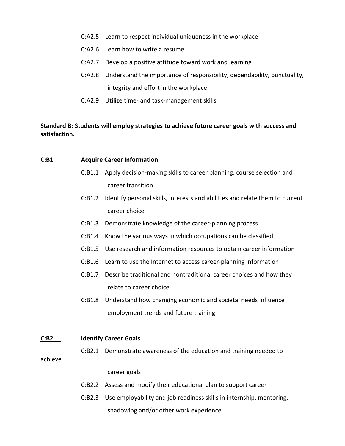- C:A2.5 Learn to respect individual uniqueness in the workplace
- C:A2.6 Learn how to write a resume
- C:A2.7 Develop a positive attitude toward work and learning
- C:A2.8 Understand the importance of responsibility, dependability, punctuality, integrity and effort in the workplace
- C:A2.9 Utilize time- and task-management skills

# **Standard B: Students will employ strategies to achieve future career goals with success and satisfaction.**

# **C:B1 Acquire Career Information**

- C:B1.1 Apply decision-making skills to career planning, course selection and career transition
- C:B1.2 Identify personal skills, interests and abilities and relate them to current career choice
- C:B1.3 Demonstrate knowledge of the career-planning process
- C:B1.4 Know the various ways in which occupations can be classified
- C:B1.5 Use research and information resources to obtain career information
- C:B1.6 Learn to use the Internet to access career-planning information
- C:B1.7 Describe traditional and nontraditional career choices and how they relate to career choice
- C:B1.8 Understand how changing economic and societal needs influence employment trends and future training

#### **C:B2 Identify Career Goals**

C:B2.1 Demonstrate awareness of the education and training needed to

achieve

career goals

- C:B2.2 Assess and modify their educational plan to support career
- C:B2.3 Use employability and job readiness skills in internship, mentoring, shadowing and/or other work experience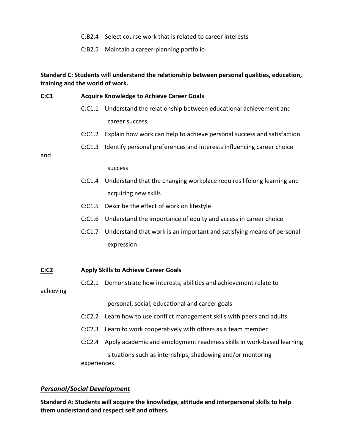- C:B2.4 Select course work that is related to career interests
- C:B2.5 Maintain a career-planning portfolio

**Standard C: Students will understand the relationship between personal qualities, education, training and the world of work.** 

| <u>C:C1</u> |             | <b>Acquire Knowledge to Achieve Career Goals</b>                             |  |
|-------------|-------------|------------------------------------------------------------------------------|--|
|             | C: C1.1     | Understand the relationship between educational achievement and              |  |
|             |             | career success                                                               |  |
|             | C: C1.2     | Explain how work can help to achieve personal success and satisfaction       |  |
|             | C: C1.3     | Identify personal preferences and interests influencing career choice        |  |
| and         |             |                                                                              |  |
|             |             | success                                                                      |  |
|             | C: C1.4     | Understand that the changing workplace requires lifelong learning and        |  |
|             |             | acquiring new skills                                                         |  |
|             | C: C1.5     | Describe the effect of work on lifestyle                                     |  |
|             | C: C1.6     | Understand the importance of equity and access in career choice              |  |
|             | C: C1.7     | Understand that work is an important and satisfying means of personal        |  |
|             |             | expression                                                                   |  |
|             |             |                                                                              |  |
| C: C2       |             | <b>Apply Skills to Achieve Career Goals</b>                                  |  |
|             |             | C:C2.1 Demonstrate how interests, abilities and achievement relate to        |  |
| achieving   |             |                                                                              |  |
|             |             | personal, social, educational and career goals                               |  |
|             | C: C2.2     | Learn how to use conflict management skills with peers and adults            |  |
|             | C: C2.3     | Learn to work cooperatively with others as a team member                     |  |
|             |             | C:C2.4 Apply academic and employment readiness skills in work-based learning |  |
|             |             | situations such as internships, shadowing and/or mentoring                   |  |
|             | experiences |                                                                              |  |

# *Personal/Social Development*

**Standard A: Students will acquire the knowledge, attitude and interpersonal skills to help them understand and respect self and others.**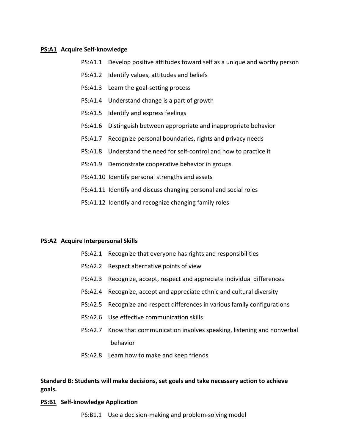#### **PS:A1 Acquire Self-knowledge**

- PS:A1.1 Develop positive attitudes toward self as a unique and worthy person
- PS:A1.2 Identify values, attitudes and beliefs
- PS:A1.3 Learn the goal-setting process
- PS:A1.4 Understand change is a part of growth
- PS:A1.5 Identify and express feelings
- PS:A1.6 Distinguish between appropriate and inappropriate behavior
- PS:A1.7 Recognize personal boundaries, rights and privacy needs
- PS:A1.8 Understand the need for self-control and how to practice it
- PS:A1.9 Demonstrate cooperative behavior in groups
- PS:A1.10 Identify personal strengths and assets
- PS:A1.11 Identify and discuss changing personal and social roles
- PS:A1.12 Identify and recognize changing family roles

#### **PS:A2 Acquire Interpersonal Skills**

- PS:A2.1 Recognize that everyone has rights and responsibilities
- PS:A2.2 Respect alternative points of view
- PS:A2.3 Recognize, accept, respect and appreciate individual differences
- PS:A2.4 Recognize, accept and appreciate ethnic and cultural diversity
- PS:A2.5 Recognize and respect differences in various family configurations
- PS:A2.6 Use effective communication skills
- PS:A2.7 Know that communication involves speaking, listening and nonverbal behavior
- PS:A2.8 Learn how to make and keep friends

# **Standard B: Students will make decisions, set goals and take necessary action to achieve goals.**

#### **PS:B1 Self-knowledge Application**

PS:B1.1 Use a decision-making and problem-solving model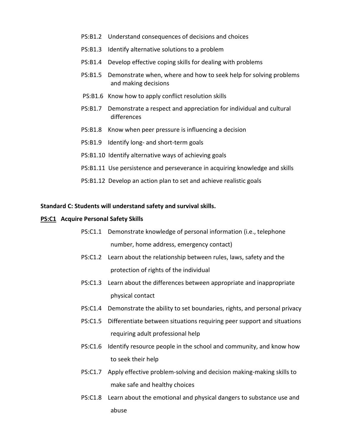- PS:B1.2 Understand consequences of decisions and choices
- PS:B1.3 Identify alternative solutions to a problem
- PS:B1.4 Develop effective coping skills for dealing with problems
- PS:B1.5 Demonstrate when, where and how to seek help for solving problems and making decisions
- PS:B1.6 Know how to apply conflict resolution skills
- PS:B1.7 Demonstrate a respect and appreciation for individual and cultural differences
- PS:B1.8 Know when peer pressure is influencing a decision
- PS:B1.9 Identify long- and short-term goals
- PS:B1.10 Identify alternative ways of achieving goals
- PS:B1.11 Use persistence and perseverance in acquiring knowledge and skills
- PS:B1.12 Develop an action plan to set and achieve realistic goals

### **Standard C: Students will understand safety and survival skills.**

#### **PS:C1 Acquire Personal Safety Skills**

- PS:C1.1 Demonstrate knowledge of personal information (i.e., telephone number, home address, emergency contact)
- PS:C1.2 Learn about the relationship between rules, laws, safety and the protection of rights of the individual
- PS:C1.3 Learn about the differences between appropriate and inappropriate physical contact
- PS:C1.4 Demonstrate the ability to set boundaries, rights, and personal privacy
- PS:C1.5 Differentiate between situations requiring peer support and situations requiring adult professional help
- PS:C1.6 Identify resource people in the school and community, and know how to seek their help
- PS:C1.7 Apply effective problem-solving and decision making-making skills to make safe and healthy choices
- PS:C1.8 Learn about the emotional and physical dangers to substance use and abuse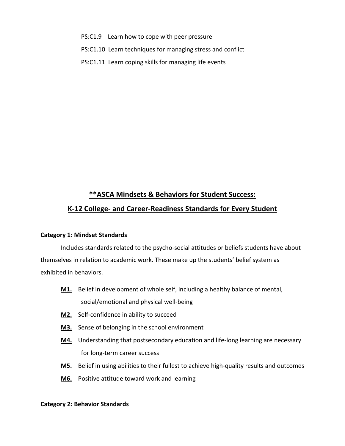- PS:C1.9 Learn how to cope with peer pressure
- PS:C1.10 Learn techniques for managing stress and conflict
- PS:C1.11 Learn coping skills for managing life events

# **\*\*ASCA Mindsets & Behaviors for Student Success: K-12 College- and Career-Readiness Standards for Every Student**

# **Category 1: Mindset Standards**

Includes standards related to the psycho-social attitudes or beliefs students have about themselves in relation to academic work. These make up the students' belief system as exhibited in behaviors.

- **M1.** Belief in development of whole self, including a healthy balance of mental, social/emotional and physical well-being
- **M2.** Self-confidence in ability to succeed
- **M3.** Sense of belonging in the school environment
- **M4.** Understanding that postsecondary education and life-long learning are necessary for long-term career success
- **M5.** Belief in using abilities to their fullest to achieve high-quality results and outcomes
- **M6.** Positive attitude toward work and learning

# **Category 2: Behavior Standards**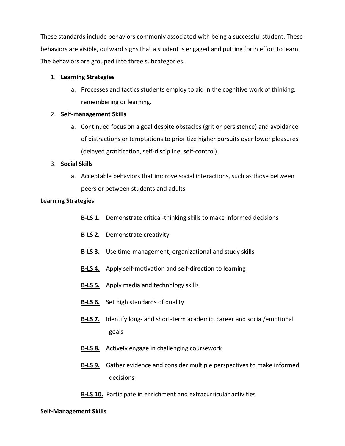These standards include behaviors commonly associated with being a successful student. These behaviors are visible, outward signs that a student is engaged and putting forth effort to learn. The behaviors are grouped into three subcategories.

## 1. **Learning Strategies**

a. Processes and tactics students employ to aid in the cognitive work of thinking, remembering or learning.

# 2. **Self-management Skills**

a. Continued focus on a goal despite obstacles (grit or persistence) and avoidance of distractions or temptations to prioritize higher pursuits over lower pleasures (delayed gratification, self-discipline, self-control).

## 3. **Social Skills**

a. Acceptable behaviors that improve social interactions, such as those between peers or between students and adults.

## **Learning Strategies**

- **B-LS 1.** Demonstrate critical-thinking skills to make informed decisions
- **B-LS 2.** Demonstrate creativity
- **B-LS 3.** Use time-management, organizational and study skills
- **B-LS 4.** Apply self-motivation and self-direction to learning
- **B-LS 5.** Apply media and technology skills
- **B-LS 6.** Set high standards of quality
- **B-LS 7.** Identify long- and short-term academic, career and social/emotional goals
- **B-LS 8.** Actively engage in challenging coursework
- **B-LS 9.** Gather evidence and consider multiple perspectives to make informed decisions
- **B-LS 10.** Participate in enrichment and extracurricular activities

# **Self-Management Skills**